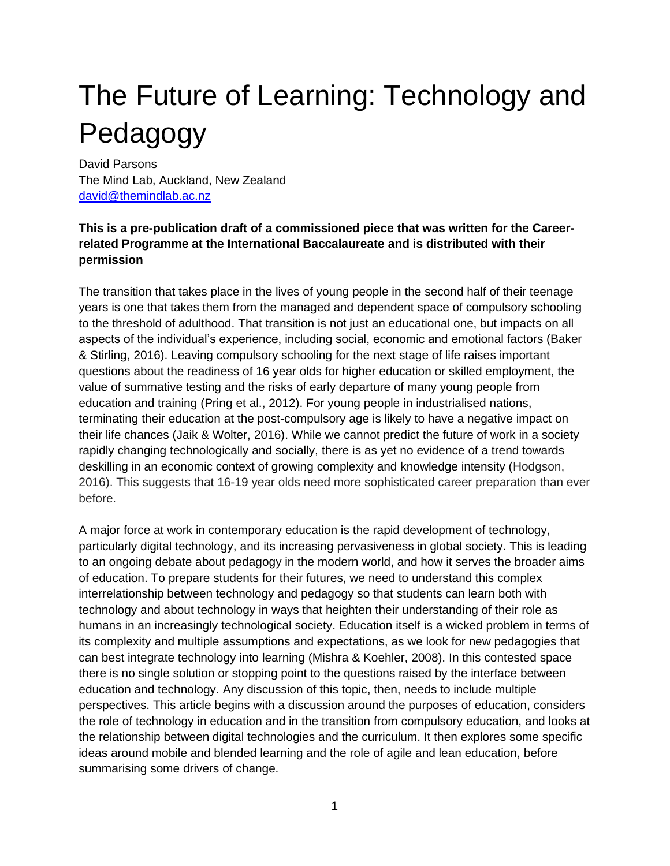# The Future of Learning: Technology and Pedagogy

David Parsons The Mind Lab, Auckland, New Zealand [david@themindlab.ac.nz](mailto:david@themindlab.ac.nz)

#### **This is a pre-publication draft of a commissioned piece that was written for the Careerrelated Programme at the International Baccalaureate and is distributed with their permission**

The transition that takes place in the lives of young people in the second half of their teenage years is one that takes them from the managed and dependent space of compulsory schooling to the threshold of adulthood. That transition is not just an educational one, but impacts on all aspects of the individual's experience, including social, economic and emotional factors (Baker & Stirling, 2016). Leaving compulsory schooling for the next stage of life raises important questions about the readiness of 16 year olds for higher education or skilled employment, the value of summative testing and the risks of early departure of many young people from education and training (Pring et al., 2012). For young people in industrialised nations, terminating their education at the post-compulsory age is likely to have a negative impact on their life chances (Jaik & Wolter, 2016). While we cannot predict the future of work in a society rapidly changing technologically and socially, there is as yet no evidence of a trend towards deskilling in an economic context of growing complexity and knowledge intensity (Hodgson, 2016). This suggests that 16-19 year olds need more sophisticated career preparation than ever before.

A major force at work in contemporary education is the rapid development of technology, particularly digital technology, and its increasing pervasiveness in global society. This is leading to an ongoing debate about pedagogy in the modern world, and how it serves the broader aims of education. To prepare students for their futures, we need to understand this complex interrelationship between technology and pedagogy so that students can learn both with technology and about technology in ways that heighten their understanding of their role as humans in an increasingly technological society. Education itself is a wicked problem in terms of its complexity and multiple assumptions and expectations, as we look for new pedagogies that can best integrate technology into learning (Mishra & Koehler, 2008). In this contested space there is no single solution or stopping point to the questions raised by the interface between education and technology. Any discussion of this topic, then, needs to include multiple perspectives. This article begins with a discussion around the purposes of education, considers the role of technology in education and in the transition from compulsory education, and looks at the relationship between digital technologies and the curriculum. It then explores some specific ideas around mobile and blended learning and the role of agile and lean education, before summarising some drivers of change.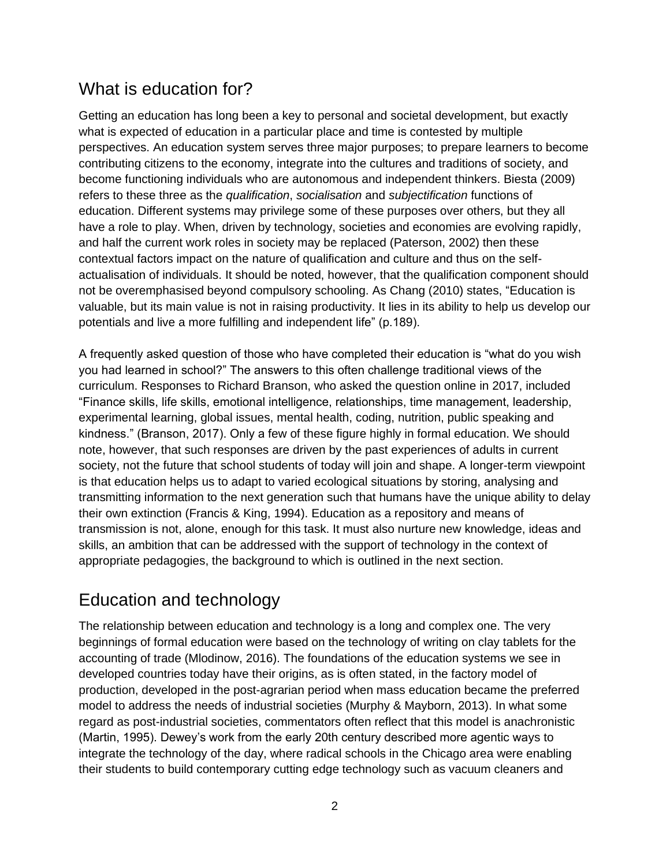# What is education for?

Getting an education has long been a key to personal and societal development, but exactly what is expected of education in a particular place and time is contested by multiple perspectives. An education system serves three major purposes; to prepare learners to become contributing citizens to the economy, integrate into the cultures and traditions of society, and become functioning individuals who are autonomous and independent thinkers. Biesta (2009) refers to these three as the *qualification*, *socialisation* and *subjectification* functions of education. Different systems may privilege some of these purposes over others, but they all have a role to play. When, driven by technology, societies and economies are evolving rapidly, and half the current work roles in society may be replaced (Paterson, 2002) then these contextual factors impact on the nature of qualification and culture and thus on the selfactualisation of individuals. It should be noted, however, that the qualification component should not be overemphasised beyond compulsory schooling. As Chang (2010) states, "Education is valuable, but its main value is not in raising productivity. It lies in its ability to help us develop our potentials and live a more fulfilling and independent life" (p.189).

A frequently asked question of those who have completed their education is "what do you wish you had learned in school?" The answers to this often challenge traditional views of the curriculum. Responses to Richard Branson, who asked the question online in 2017, included "Finance skills, life skills, emotional intelligence, relationships, time management, leadership, experimental learning, global issues, mental health, coding, nutrition, public speaking and kindness." (Branson, 2017). Only a few of these figure highly in formal education. We should note, however, that such responses are driven by the past experiences of adults in current society, not the future that school students of today will join and shape. A longer-term viewpoint is that education helps us to adapt to varied ecological situations by storing, analysing and transmitting information to the next generation such that humans have the unique ability to delay their own extinction (Francis & King, 1994). Education as a repository and means of transmission is not, alone, enough for this task. It must also nurture new knowledge, ideas and skills, an ambition that can be addressed with the support of technology in the context of appropriate pedagogies, the background to which is outlined in the next section.

# Education and technology

The relationship between education and technology is a long and complex one. The very beginnings of formal education were based on the technology of writing on clay tablets for the accounting of trade (Mlodinow, 2016). The foundations of the education systems we see in developed countries today have their origins, as is often stated, in the factory model of production, developed in the post-agrarian period when mass education became the preferred model to address the needs of industrial societies (Murphy & Mayborn, 2013). In what some regard as post-industrial societies, commentators often reflect that this model is anachronistic (Martin, 1995). Dewey's work from the early 20th century described more agentic ways to integrate the technology of the day, where radical schools in the Chicago area were enabling their students to build contemporary cutting edge technology such as vacuum cleaners and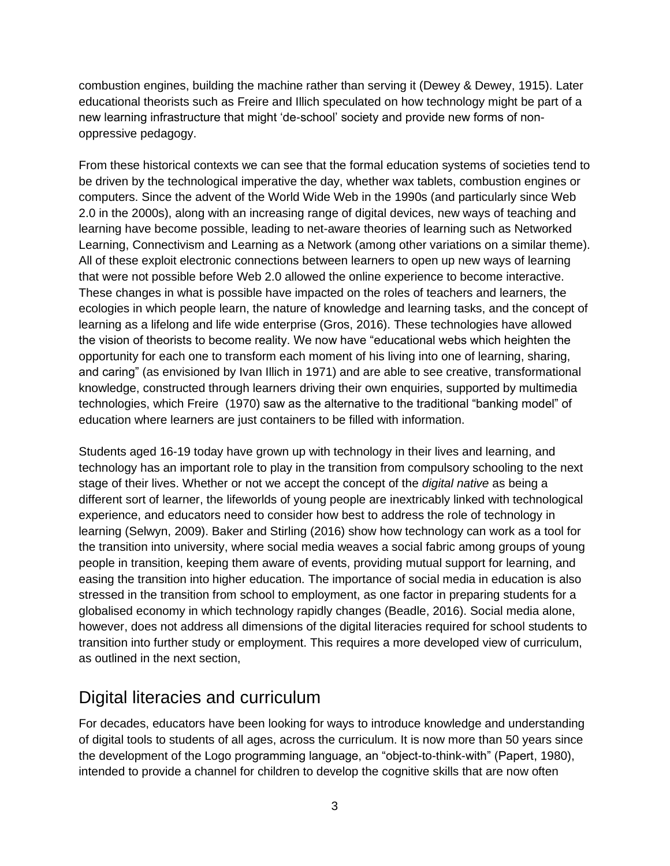combustion engines, building the machine rather than serving it (Dewey & Dewey, 1915). Later educational theorists such as Freire and Illich speculated on how technology might be part of a new learning infrastructure that might 'de-school' society and provide new forms of nonoppressive pedagogy.

From these historical contexts we can see that the formal education systems of societies tend to be driven by the technological imperative the day, whether wax tablets, combustion engines or computers. Since the advent of the World Wide Web in the 1990s (and particularly since Web 2.0 in the 2000s), along with an increasing range of digital devices, new ways of teaching and learning have become possible, leading to net-aware theories of learning such as Networked Learning, Connectivism and Learning as a Network (among other variations on a similar theme). All of these exploit electronic connections between learners to open up new ways of learning that were not possible before Web 2.0 allowed the online experience to become interactive. These changes in what is possible have impacted on the roles of teachers and learners, the ecologies in which people learn, the nature of knowledge and learning tasks, and the concept of learning as a lifelong and life wide enterprise (Gros, 2016). These technologies have allowed the vision of theorists to become reality. We now have "educational webs which heighten the opportunity for each one to transform each moment of his living into one of learning, sharing, and caring" (as envisioned by Ivan Illich in 1971) and are able to see creative, transformational knowledge, constructed through learners driving their own enquiries, supported by multimedia technologies, which Freire (1970) saw as the alternative to the traditional "banking model" of education where learners are just containers to be filled with information.

Students aged 16-19 today have grown up with technology in their lives and learning, and technology has an important role to play in the transition from compulsory schooling to the next stage of their lives. Whether or not we accept the concept of the *digital native* as being a different sort of learner, the lifeworlds of young people are inextricably linked with technological experience, and educators need to consider how best to address the role of technology in learning (Selwyn, 2009). Baker and Stirling (2016) show how technology can work as a tool for the transition into university, where social media weaves a social fabric among groups of young people in transition, keeping them aware of events, providing mutual support for learning, and easing the transition into higher education. The importance of social media in education is also stressed in the transition from school to employment, as one factor in preparing students for a globalised economy in which technology rapidly changes (Beadle, 2016). Social media alone, however, does not address all dimensions of the digital literacies required for school students to transition into further study or employment. This requires a more developed view of curriculum, as outlined in the next section,

### Digital literacies and curriculum

For decades, educators have been looking for ways to introduce knowledge and understanding of digital tools to students of all ages, across the curriculum. It is now more than 50 years since the development of the Logo programming language, an "object-to-think-with" (Papert, 1980), intended to provide a channel for children to develop the cognitive skills that are now often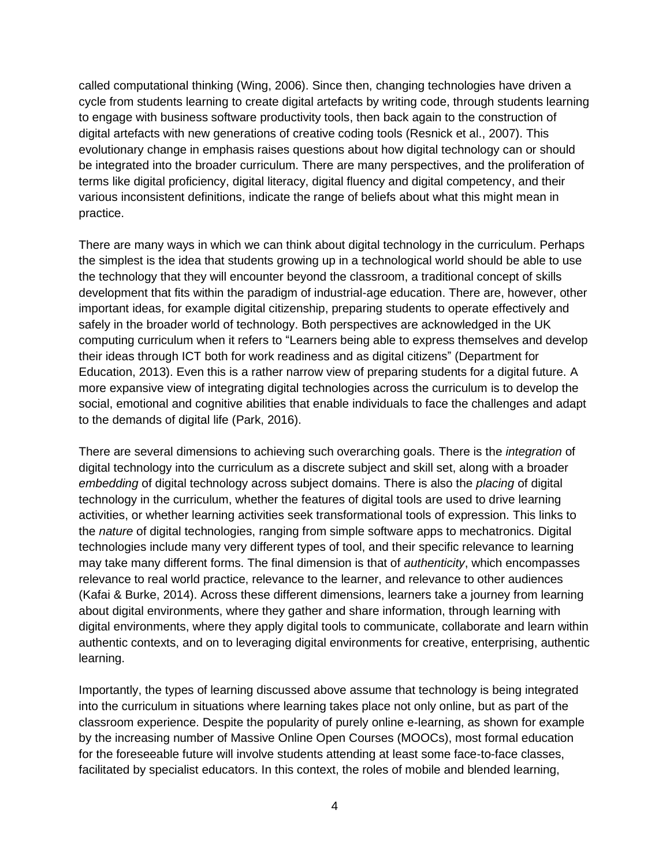called computational thinking (Wing, 2006). Since then, changing technologies have driven a cycle from students learning to create digital artefacts by writing code, through students learning to engage with business software productivity tools, then back again to the construction of digital artefacts with new generations of creative coding tools (Resnick et al., 2007). This evolutionary change in emphasis raises questions about how digital technology can or should be integrated into the broader curriculum. There are many perspectives, and the proliferation of terms like digital proficiency, digital literacy, digital fluency and digital competency, and their various inconsistent definitions, indicate the range of beliefs about what this might mean in practice.

There are many ways in which we can think about digital technology in the curriculum. Perhaps the simplest is the idea that students growing up in a technological world should be able to use the technology that they will encounter beyond the classroom, a traditional concept of skills development that fits within the paradigm of industrial-age education. There are, however, other important ideas, for example digital citizenship, preparing students to operate effectively and safely in the broader world of technology. Both perspectives are acknowledged in the UK computing curriculum when it refers to "Learners being able to express themselves and develop their ideas through ICT both for work readiness and as digital citizens" (Department for Education, 2013). Even this is a rather narrow view of preparing students for a digital future. A more expansive view of integrating digital technologies across the curriculum is to develop the social, emotional and cognitive abilities that enable individuals to face the challenges and adapt to the demands of digital life (Park, 2016).

There are several dimensions to achieving such overarching goals. There is the *integration* of digital technology into the curriculum as a discrete subject and skill set, along with a broader *embedding* of digital technology across subject domains. There is also the *placing* of digital technology in the curriculum, whether the features of digital tools are used to drive learning activities, or whether learning activities seek transformational tools of expression. This links to the *nature* of digital technologies, ranging from simple software apps to mechatronics. Digital technologies include many very different types of tool, and their specific relevance to learning may take many different forms. The final dimension is that of *authenticity*, which encompasses relevance to real world practice, relevance to the learner, and relevance to other audiences (Kafai & Burke, 2014). Across these different dimensions, learners take a journey from learning about digital environments, where they gather and share information, through learning with digital environments, where they apply digital tools to communicate, collaborate and learn within authentic contexts, and on to leveraging digital environments for creative, enterprising, authentic learning.

Importantly, the types of learning discussed above assume that technology is being integrated into the curriculum in situations where learning takes place not only online, but as part of the classroom experience. Despite the popularity of purely online e-learning, as shown for example by the increasing number of Massive Online Open Courses (MOOCs), most formal education for the foreseeable future will involve students attending at least some face-to-face classes, facilitated by specialist educators. In this context, the roles of mobile and blended learning,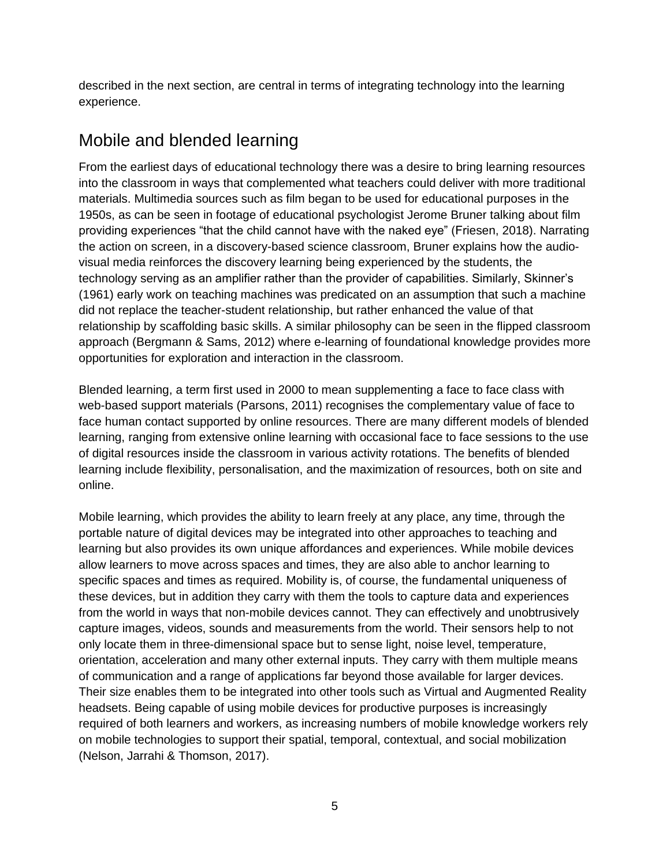described in the next section, are central in terms of integrating technology into the learning experience.

# Mobile and blended learning

From the earliest days of educational technology there was a desire to bring learning resources into the classroom in ways that complemented what teachers could deliver with more traditional materials. Multimedia sources such as film began to be used for educational purposes in the 1950s, as can be seen in footage of educational psychologist Jerome Bruner talking about film providing experiences "that the child cannot have with the naked eye" (Friesen, 2018). Narrating the action on screen, in a discovery-based science classroom, Bruner explains how the audiovisual media reinforces the discovery learning being experienced by the students, the technology serving as an amplifier rather than the provider of capabilities. Similarly, Skinner's (1961) early work on teaching machines was predicated on an assumption that such a machine did not replace the teacher-student relationship, but rather enhanced the value of that relationship by scaffolding basic skills. A similar philosophy can be seen in the flipped classroom approach (Bergmann & Sams, 2012) where e-learning of foundational knowledge provides more opportunities for exploration and interaction in the classroom.

Blended learning, a term first used in 2000 to mean supplementing a face to face class with web-based support materials (Parsons, 2011) recognises the complementary value of face to face human contact supported by online resources. There are many different models of blended learning, ranging from extensive online learning with occasional face to face sessions to the use of digital resources inside the classroom in various activity rotations. The benefits of blended learning include flexibility, personalisation, and the maximization of resources, both on site and online.

Mobile learning, which provides the ability to learn freely at any place, any time, through the portable nature of digital devices may be integrated into other approaches to teaching and learning but also provides its own unique affordances and experiences. While mobile devices allow learners to move across spaces and times, they are also able to anchor learning to specific spaces and times as required. Mobility is, of course, the fundamental uniqueness of these devices, but in addition they carry with them the tools to capture data and experiences from the world in ways that non-mobile devices cannot. They can effectively and unobtrusively capture images, videos, sounds and measurements from the world. Their sensors help to not only locate them in three-dimensional space but to sense light, noise level, temperature, orientation, acceleration and many other external inputs. They carry with them multiple means of communication and a range of applications far beyond those available for larger devices. Their size enables them to be integrated into other tools such as Virtual and Augmented Reality headsets. Being capable of using mobile devices for productive purposes is increasingly required of both learners and workers, as increasing numbers of mobile knowledge workers rely on mobile technologies to support their spatial, temporal, contextual, and social mobilization (Nelson, Jarrahi & Thomson, 2017).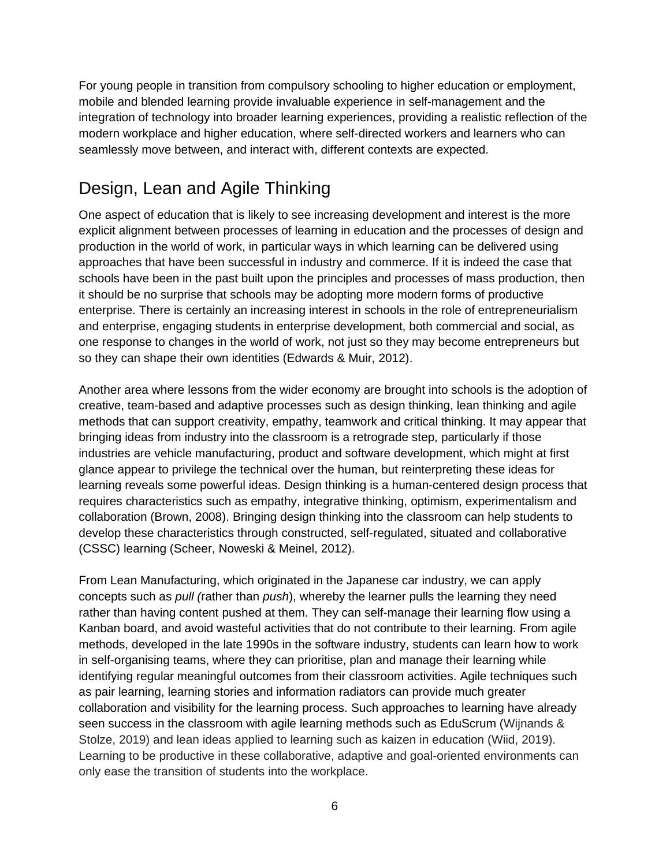For young people in transition from compulsory schooling to higher education or employment, mobile and blended learning provide invaluable experience in self-management and the integration of technology into broader learning experiences, providing a realistic reflection of the modern workplace and higher education, where self-directed workers and learners who can seamlessly move between, and interact with, different contexts are expected.

# Design, Lean and Agile Thinking

One aspect of education that is likely to see increasing development and interest is the more explicit alignment between processes of learning in education and the processes of design and production in the world of work, in particular ways in which learning can be delivered using approaches that have been successful in industry and commerce. If it is indeed the case that schools have been in the past built upon the principles and processes of mass production, then it should be no surprise that schools may be adopting more modern forms of productive enterprise. There is certainly an increasing interest in schools in the role of entrepreneurialism and enterprise, engaging students in enterprise development, both commercial and social, as one response to changes in the world of work, not just so they may become entrepreneurs but so they can shape their own identities (Edwards & Muir, 2012).

Another area where lessons from the wider economy are brought into schools is the adoption of creative, team-based and adaptive processes such as design thinking, lean thinking and agile methods that can support creativity, empathy, teamwork and critical thinking. It may appear that bringing ideas from industry into the classroom is a retrograde step, particularly if those industries are vehicle manufacturing, product and software development, which might at first glance appear to privilege the technical over the human, but reinterpreting these ideas for learning reveals some powerful ideas. Design thinking is a human-centered design process that requires characteristics such as empathy, integrative thinking, optimism, experimentalism and collaboration (Brown, 2008). Bringing design thinking into the classroom can help students to develop these characteristics through constructed, self-regulated, situated and collaborative (CSSC) learning (Scheer, Noweski & Meinel, 2012).

From Lean Manufacturing, which originated in the Japanese car industry, we can apply concepts such as *pull (*rather than *push*), whereby the learner pulls the learning they need rather than having content pushed at them. They can self-manage their learning flow using a Kanban board, and avoid wasteful activities that do not contribute to their learning. From agile methods, developed in the late 1990s in the software industry, students can learn how to work in self-organising teams, where they can prioritise, plan and manage their learning while identifying regular meaningful outcomes from their classroom activities. Agile techniques such as pair learning, learning stories and information radiators can provide much greater collaboration and visibility for the learning process. Such approaches to learning have already seen success in the classroom with agile learning methods such as EduScrum (Wijnands & Stolze, 2019) and lean ideas applied to learning such as kaizen in education (Wiid, 2019). Learning to be productive in these collaborative, adaptive and goal-oriented environments can only ease the transition of students into the workplace.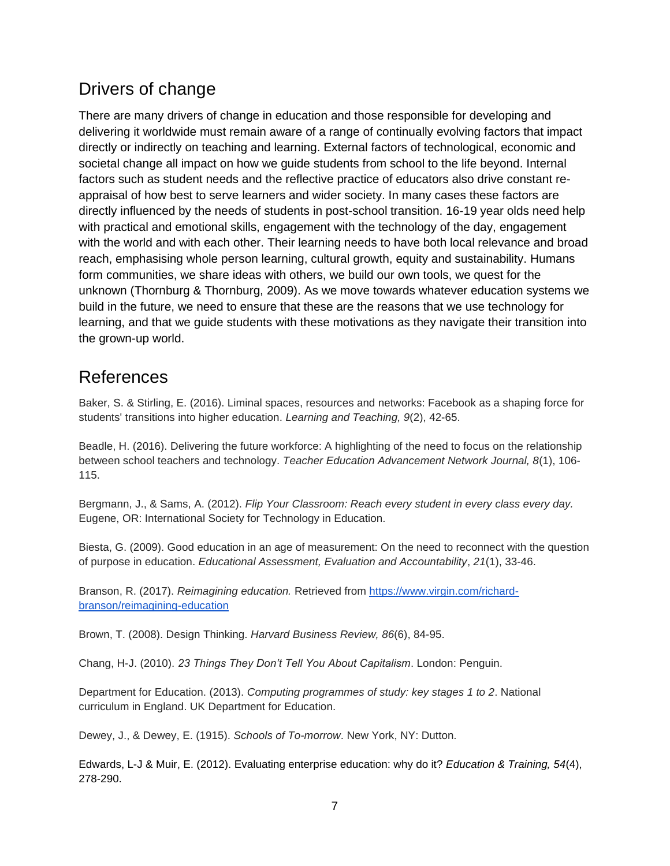# Drivers of change

There are many drivers of change in education and those responsible for developing and delivering it worldwide must remain aware of a range of continually evolving factors that impact directly or indirectly on teaching and learning. External factors of technological, economic and societal change all impact on how we guide students from school to the life beyond. Internal factors such as student needs and the reflective practice of educators also drive constant reappraisal of how best to serve learners and wider society. In many cases these factors are directly influenced by the needs of students in post-school transition. 16-19 year olds need help with practical and emotional skills, engagement with the technology of the day, engagement with the world and with each other. Their learning needs to have both local relevance and broad reach, emphasising whole person learning, cultural growth, equity and sustainability. Humans form communities, we share ideas with others, we build our own tools, we quest for the unknown (Thornburg & Thornburg, 2009). As we move towards whatever education systems we build in the future, we need to ensure that these are the reasons that we use technology for learning, and that we guide students with these motivations as they navigate their transition into the grown-up world.

#### References

Baker, S. & Stirling, E. (2016). Liminal spaces, resources and networks: Facebook as a shaping force for students' transitions into higher education. *Learning and Teaching, 9*(2), 42-65.

Beadle, H. (2016). Delivering the future workforce: A highlighting of the need to focus on the relationship between school teachers and technology. *Teacher Education Advancement Network Journal, 8*(1), 106- 115.

Bergmann, J., & Sams, A. (2012). *Flip Your Classroom: Reach every student in every class every day.* Eugene, OR: International Society for Technology in Education.

Biesta, G. (2009). Good education in an age of measurement: On the need to reconnect with the question of purpose in education. *Educational Assessment, Evaluation and Accountability*, *21*(1), 33-46.

Branson, R. (2017). *Reimagining education.* Retrieved from [https://www.virgin.com/richard](https://www.virgin.com/richard-branson/reimagining-education)[branson/reimagining-education](https://www.virgin.com/richard-branson/reimagining-education)

Brown, T. (2008). Design Thinking. *Harvard Business Review, 86*(6), 84-95.

Chang, H-J. (2010). *23 Things They Don't Tell You About Capitalism*. London: Penguin.

Department for Education. (2013). *Computing programmes of study: key stages 1 to 2*. National curriculum in England. UK Department for Education.

Dewey, J., & Dewey, E. (1915). *Schools of To-morrow*. New York, NY: Dutton.

Edwards, L-J & Muir, E. (2012). Evaluating enterprise education: why do it? *Education & Training, 54*(4), 278-290.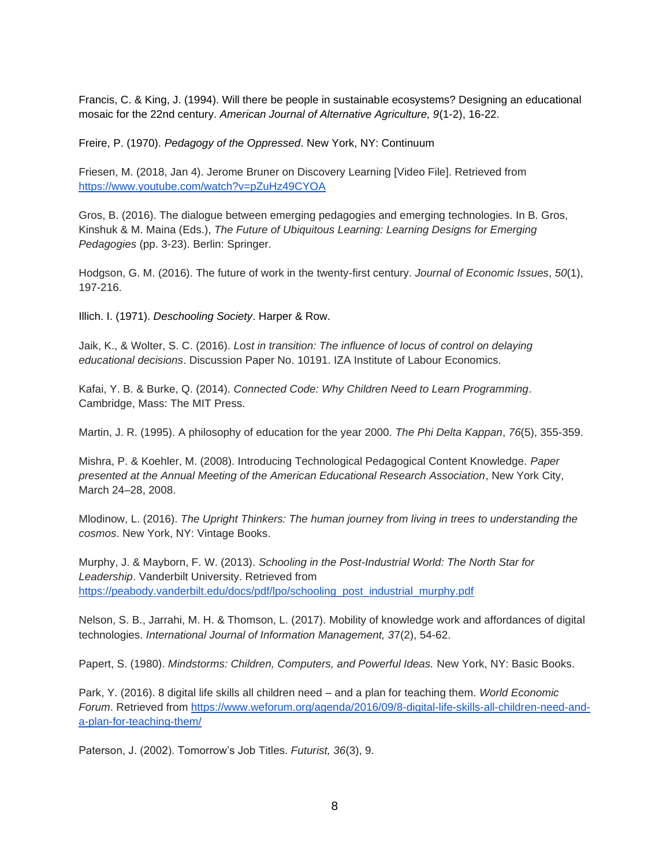Francis, C. & King, J. (1994). Will there be people in sustainable ecosystems? Designing an educational mosaic for the 22nd century. *American Journal of Alternative Agriculture, 9*(1-2), 16-22.

Freire, P. (1970). *Pedagogy of the Oppressed*. New York, NY: Continuum

Friesen, M. (2018, Jan 4). Jerome Bruner on Discovery Learning [Video File]. Retrieved from <https://www.youtube.com/watch?v=pZuHz49CYOA>

Gros, B. (2016). The dialogue between emerging pedagogies and emerging technologies. In B. Gros, Kinshuk & M. Maina (Eds.), *The Future of Ubiquitous Learning: Learning Designs for Emerging Pedagogies* (pp. 3-23). Berlin: Springer.

Hodgson, G. M. (2016). The future of work in the twenty-first century. *Journal of Economic Issues*, *50*(1), 197-216.

Illich. I. (1971). *Deschooling Society*. Harper & Row.

Jaik, K., & Wolter, S. C. (2016). *Lost in transition: The influence of locus of control on delaying educational decisions*. Discussion Paper No. 10191. IZA Institute of Labour Economics.

Kafai, Y. B. & Burke, Q. (2014). *Connected Code: Why Children Need to Learn Programming*. Cambridge, Mass: The MIT Press.

Martin, J. R. (1995). A philosophy of education for the year 2000. *The Phi Delta Kappan*, *76*(5), 355-359.

Mishra, P. & Koehler, M. (2008). Introducing Technological Pedagogical Content Knowledge. *Paper presented at the Annual Meeting of the American Educational Research Association*, New York City, March 24–28, 2008.

Mlodinow, L. (2016). *The Upright Thinkers: The human journey from living in trees to understanding the cosmos*. New York, NY: Vintage Books.

Murphy, J. & Mayborn, F. W. (2013). *Schooling in the Post-Industrial World: The North Star for Leadership*. Vanderbilt University. Retrieved from [https://peabody.vanderbilt.edu/docs/pdf/lpo/schooling\\_post\\_industrial\\_murphy.pdf](https://peabody.vanderbilt.edu/docs/pdf/lpo/schooling_post_industrial_murphy.pdf)

Nelson, S. B., Jarrahi, M. H. & Thomson, L. (2017). Mobility of knowledge work and affordances of digital technologies. *International Journal of Information Management, 3*7(2), 54-62.

Papert, S. (1980). *Mindstorms: Children, Computers, and Powerful Ideas.* New York, NY: Basic Books.

Park, Y. (2016). 8 digital life skills all children need – and a plan for teaching them. *World Economic Forum*. Retrieved from [https://www.weforum.org/agenda/2016/09/8-digital-life-skills-all-children-need-and](https://www.weforum.org/agenda/2016/09/8-digital-life-skills-all-children-need-and-a-plan-for-teaching-them/)[a-plan-for-teaching-them/](https://www.weforum.org/agenda/2016/09/8-digital-life-skills-all-children-need-and-a-plan-for-teaching-them/)

Paterson, J. (2002). Tomorrow's Job Titles. *Futurist, 36*(3), 9.